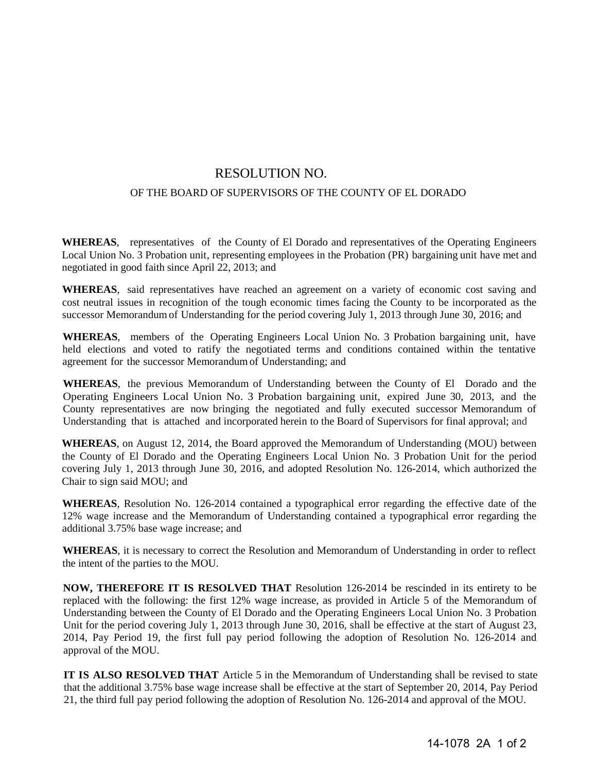## RESOLUTION NO.

## OF THE BOARD OF SUPERVISORS OF THE COUNTY OF EL DORADO

**WHEREAS**, representatives of the County of El Dorado and representatives of the Operating Engineers Local Union No. 3 Probation unit, representing employees in the Probation (PR) bargaining unit have met and negotiated in good faith since April 22, 2013; and

**WHEREAS**, said representatives have reached an agreement on a variety of economic cost saving and cost neutral issues in recognition of the tough economic times facing the County to be incorporated as the successor Memorandum of Understanding for the period covering July 1, 2013 through June 30, 2016; and

**WHEREAS**, members of the Operating Engineers Local Union No. 3 Probation bargaining unit, have held elections and voted to ratify the negotiated terms and conditions contained within the tentative agreement for the successor Memorandum of Understanding; and

**WHEREAS**, the previous Memorandum of Understanding between the County of El Dorado and the Operating Engineers Local Union No. 3 Probation bargaining unit, expired June 30, 2013, and the County representatives are now bringing the negotiated and fully executed successor Memorandum of Understanding that is attached and incorporated herein to the Board of Supervisors for final approval; and

**WHEREAS**, on August 12, 2014, the Board approved the Memorandum of Understanding (MOU) between the County of El Dorado and the Operating Engineers Local Union No. 3 Probation Unit for the period covering July 1, 2013 through June 30, 2016, and adopted Resolution No. 126-2014, which authorized the Chair to sign said MOU; and

**WHEREAS**, Resolution No. 126-2014 contained a typographical error regarding the effective date of the 12% wage increase and the Memorandum of Understanding contained a typographical error regarding the additional 3.75% base wage increase; and

**WHEREAS**, it is necessary to correct the Resolution and Memorandum of Understanding in order to reflect the intent of the parties to the MOU.

**NOW, THEREFORE IT IS RESOLVED THAT** Resolution 126-2014 be rescinded in its entirety to be replaced with the following: the first 12% wage increase, as provided in Article 5 of the Memorandum of Understanding between the County of El Dorado and the Operating Engineers Local Union No. 3 Probation Unit for the period covering July 1, 2013 through June 30, 2016, shall be effective at the start of August 23, 2014, Pay Period 19, the first full pay period following the adoption of Resolution No. 126-2014 and approval of the MOU.

**IT IS ALSO RESOLVED THAT** Article 5 in the Memorandum of Understanding shall be revised to state that the additional 3.75% base wage increase shall be effective at the start of September 20, 2014, Pay Period 21, the third full pay period following the adoption of Resolution No. 126-2014 and approval of the MOU.